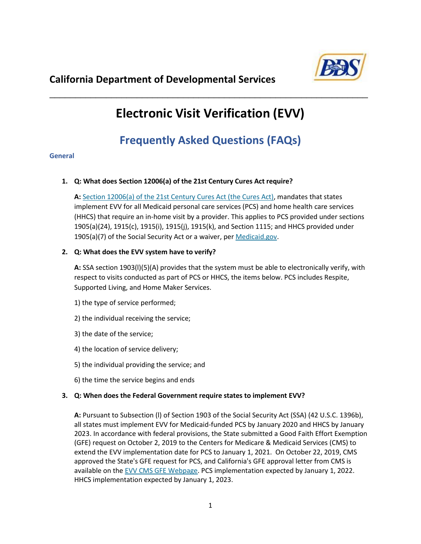

# **Electronic Visit Verification (EVV)**

\_\_\_\_\_\_\_\_\_\_\_\_\_\_\_\_\_\_\_\_\_\_\_\_\_\_\_\_\_\_\_\_\_\_\_\_\_\_\_\_\_\_\_\_\_\_\_\_\_\_\_\_\_\_\_\_\_\_\_\_\_\_

# **Frequently Asked Questions (FAQs)**

#### **General**

# **1. Q: What does Section 12006(a) of the 21st Century Cures Act require?**

**A:** Section 12006(a) [of the 21st Century Cures Act \(the Cures Act\),](https://www.congress.gov/bill/114th-congress/house-bill/34/text) mandates that states implement EVV for all Medicaid personal care services (PCS) and home health care services (HHCS) that require an in-home visit by a provider. This applies to PCS provided under sections 1905(a)(24), 1915(c), 1915(i), 1915(j), 1915(k), and Section 1115; and HHCS provided under 1905(a)(7) of the Social Security Act or a waiver, pe[r Medicaid.gov.](https://www.medicaid.gov/medicaid/hcbs/guidance/electronic-visit-verification/index.html)

# **2. Q: What does the EVV system have to verify?**

**A:** SSA section 1903(l)(5)(A) provides that the system must be able to electronically verify, with respect to visits conducted as part of PCS or HHCS, the items below. PCS includes Respite, Supported Living, and Home Maker Services.

- 1) the type of service performed;
- 2) the individual receiving the service;
- 3) the date of the service;
- 4) the location of service delivery;
- 5) the individual providing the service; and
- 6) the time the service begins and ends

# **3. Q: When does the Federal Government require states to implement EVV?**

**A:** Pursuant to Subsection (l) of Section 1903 of the Social Security Act (SSA) (42 U.S.C. 1396b), all states must implement EVV for Medicaid-funded PCS by January 2020 and HHCS by January 2023. In accordance with federal provisions, the State submitted a Good Faith Effort Exemption (GFE) request on October 2, 2019 to the Centers for Medicare & Medicaid Services (CMS) to extend the EVV implementation date for PCS to January 1, 2021. On October 22, 2019, CMS approved the State's GFE request for PCS, and California's GFE approval letter from CMS is available on th[e EVV CMS GFE Webpage.](https://www.medicaid.gov/medicaid/hcbs/guidance/electronic-visit-verification/good-faith-effort-exemption-requests/index.html) PCS implementation expected by January 1, 2022. HHCS implementation expected by January 1, 2023.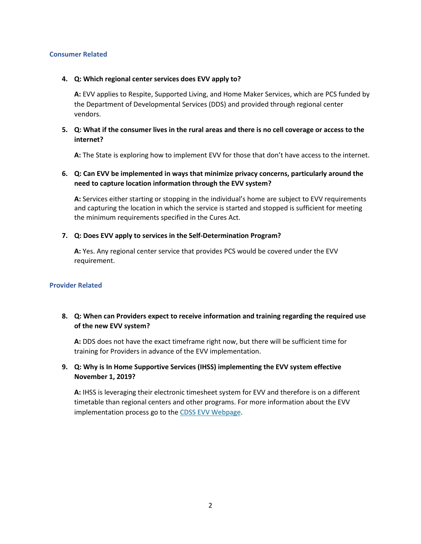#### **Consumer Related**

#### **4. Q: Which regional center services does EVV apply to?**

**A:** EVV applies to Respite, Supported Living, and Home Maker Services, which are PCS funded by the Department of Developmental Services (DDS) and provided through regional center vendors.

#### **5. Q: What if the consumer lives in the rural areas and there is no cell coverage or access to the internet?**

**A:** The State is exploring how to implement EVV for those that don't have access to the internet.

#### **6. Q: Can EVV be implemented in ways that minimize privacy concerns, particularly around the need to capture location information through the EVV system?**

**A:** Services either starting or stopping in the individual's home are subject to EVV requirements and capturing the location in which the service is started and stopped is sufficient for meeting the minimum requirements specified in the Cures Act.

#### **7. Q: Does EVV apply to services in the Self-Determination Program?**

**A:** Yes. Any regional center service that provides PCS would be covered under the EVV requirement.

#### **Provider Related**

# **8. Q: When can Providers expect to receive information and training regarding the required use of the new EVV system?**

**A:** DDS does not have the exact timeframe right now, but there will be sufficient time for training for Providers in advance of the EVV implementation.

#### **9. Q: Why is In Home Supportive Services (IHSS) implementing the EVV system effective November 1, 2019?**

**A:** IHSS is leveraging their electronic timesheet system for EVV and therefore is on a different timetable than regional centers and other programs. For more information about the EVV implementation process go to the [CDSS EVV Webpage.](https://www.cdss.ca.gov/inforesources/ihss/evv)